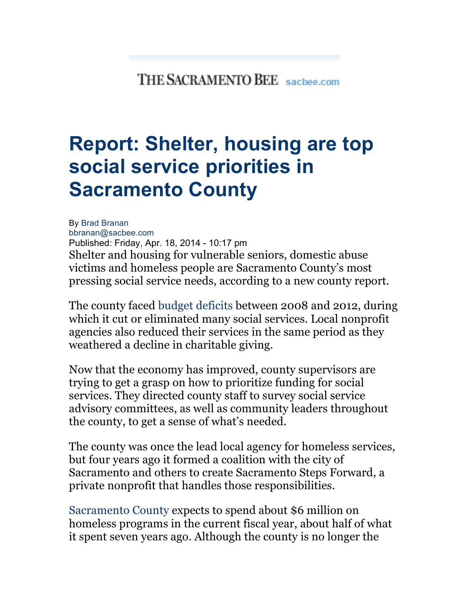## THE SACRAMENTO BEE sachee.com

## **Report: Shelter, housing are top social service priorities in Sacramento County**

By Brad Branan bbranan@sacbee.com Published: Friday, Apr. 18, 2014 - 10:17 pm Shelter and housing for vulnerable seniors, domestic abuse victims and homeless people are Sacramento County's most pressing social service needs, according to a new county report.

The county faced budget deficits between 2008 and 2012, during which it cut or eliminated many social services. Local nonprofit agencies also reduced their services in the same period as they weathered a decline in charitable giving.

Now that the economy has improved, county supervisors are trying to get a grasp on how to prioritize funding for social services. They directed county staff to survey social service advisory committees, as well as community leaders throughout the county, to get a sense of what's needed.

The county was once the lead local agency for homeless services, but four years ago it formed a coalition with the city of Sacramento and others to create Sacramento Steps Forward, a private nonprofit that handles those responsibilities.

Sacramento County expects to spend about \$6 million on homeless programs in the current fiscal year, about half of what it spent seven years ago. Although the county is no longer the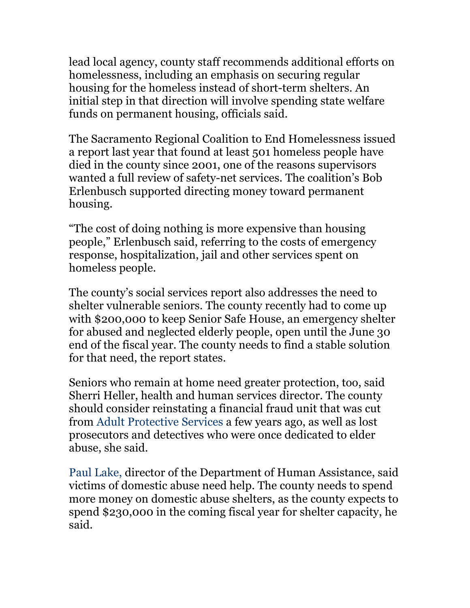lead local agency, county staff recommends additional efforts on homelessness, including an emphasis on securing regular housing for the homeless instead of short-term shelters. An initial step in that direction will involve spending state welfare funds on permanent housing, officials said.

The Sacramento Regional Coalition to End Homelessness issued a report last year that found at least 501 homeless people have died in the county since 2001, one of the reasons supervisors wanted a full review of safety-net services. The coalition's Bob Erlenbusch supported directing money toward permanent housing.

"The cost of doing nothing is more expensive than housing people," Erlenbusch said, referring to the costs of emergency response, hospitalization, jail and other services spent on homeless people.

The county's social services report also addresses the need to shelter vulnerable seniors. The county recently had to come up with \$200,000 to keep Senior Safe House, an emergency shelter for abused and neglected elderly people, open until the June 30 end of the fiscal year. The county needs to find a stable solution for that need, the report states.

Seniors who remain at home need greater protection, too, said Sherri Heller, health and human services director. The county should consider reinstating a financial fraud unit that was cut from Adult Protective Services a few years ago, as well as lost prosecutors and detectives who were once dedicated to elder abuse, she said.

Paul Lake, director of the Department of Human Assistance, said victims of domestic abuse need help. The county needs to spend more money on domestic abuse shelters, as the county expects to spend \$230,000 in the coming fiscal year for shelter capacity, he said.